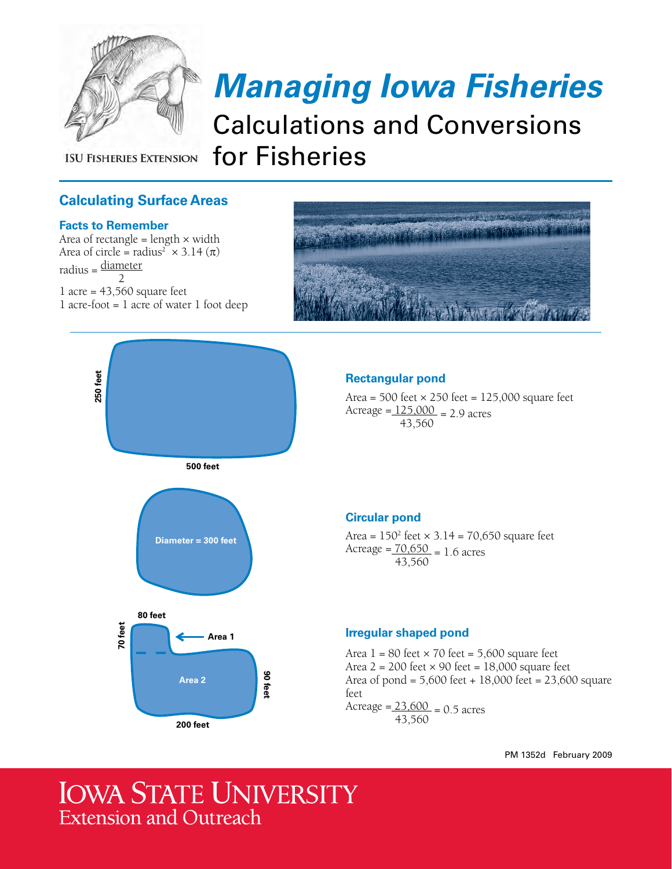

**ISU FISHERIES EXTENSION** 

# *Managing Iowa Fisheries*

Calculations and Conversions for Fisheries

# **Calculating Surface Areas**

#### **Facts to Remember**

**250 feet**

Area of rectangle = length  $\times$  width Area of circle = radius<sup>2</sup>  $\times$  3.14 ( $\pi$ )  $radius = \frac{diameter}{dt}$ 2  $1$  acre = 43,560 square feet 1 acre-foot = 1 acre of water 1 foot deep



# **Rectangular pond**

Area =  $500$  feet  $\times$  250 feet = 125,000 square feet Acreage =  $125,000 = 2.9$  acres 43,560

#### **Circular pond**

Area =  $150^2$  feet  $\times$  3.14 = 70,650 square feet Acreage =  $\frac{70,650}{ }$  = 1.6 acres 43,560

#### **Irregular shaped pond**

Area  $1 = 80$  feet  $\times$  70 feet = 5,600 square feet Area  $2 = 200$  feet  $\times$  90 feet = 18,000 square feet Area of pond = 5,600 feet + 18,000 feet = 23,600 square feet Acreage =  $23,600 = 0.5$  acres 43,560

PM 1352d February 2009

# **IOWA STATE UNIVERSITY Extension and Outreach**

**Area 1**

**500 feet**

**Diameter = 300 feet**

**90 feet**

**Area 2**

**200 feet**

**80 feet**

**70 feet**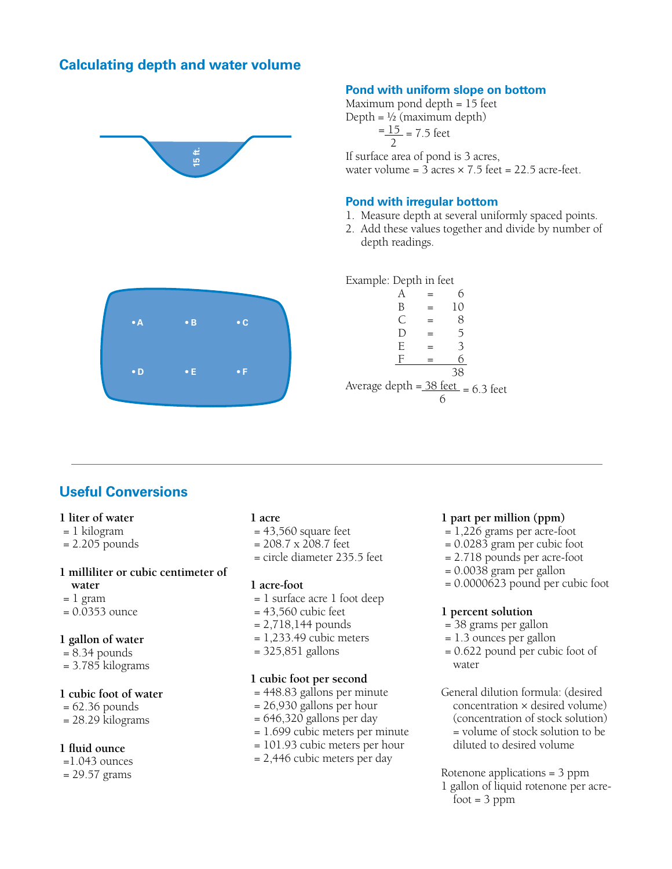### **Calculating depth and water volume**



#### **Pond with uniform slope on bottom**

Maximum pond depth = 15 feet Depth =  $\frac{1}{2}$  (maximum depth)

$$
\frac{=15}{2} = 7.5
$$
 feet

If surface area of pond is 3 acres, water volume =  $3$  acres  $\times$  7.5 feet = 22.5 acre-feet.

#### **Pond with irregular bottom**

- 1. Measure depth at several uniformly spaced points.
- 2. Add these values together and divide by number of depth readings.

Example: Depth in feet

|                                        | B         | 10 |  |
|----------------------------------------|-----------|----|--|
|                                        | $\subset$ | 8  |  |
|                                        | D         | 5  |  |
|                                        | E         | 3  |  |
|                                        | F         |    |  |
|                                        |           | 38 |  |
| Average depth = $38$ feet = $6.3$ feet |           |    |  |
|                                        |           |    |  |

# **Useful Conversions**

#### **1 liter of water**

- = 1 kilogram
- = 2.205 pounds

#### **1 milliliter or cubic centimeter of**

- **water**
- $= 1$  gram
- = 0.0353 ounce

#### **1 gallon of water**

- = 8.34 pounds
- = 3.785 kilograms

#### **1 cubic foot of water**

- $= 62.36$  pounds
- = 28.29 kilograms

#### **1 fluid ounce**

- =1.043 ounces
- = 29.57 grams

#### **1 acre**

- $= 43,560$  square feet
- = 208.7 x 208.7 feet
- = circle diameter 235.5 feet

#### **1 acre-foot**

- = 1 surface acre 1 foot deep
- $= 43,560$  cubic feet
- $= 2,718,144$  pounds
- $= 1,233.49$  cubic meters
- = 325,851 gallons

#### **1 cubic foot per second**

- = 448.83 gallons per minute
- = 26,930 gallons per hour
- $= 646,320$  gallons per day
- = 1.699 cubic meters per minute
- = 101.93 cubic meters per hour
- = 2,446 cubic meters per day

#### **1 part per million (ppm)**

- = 1,226 grams per acre-foot
- = 0.0283 gram per cubic foot
- = 2.718 pounds per acre-foot
- = 0.0038 gram per gallon
- = 0.0000623 pound per cubic foot

#### **1 percent solution**

- = 38 grams per gallon
- = 1.3 ounces per gallon
- = 0.622 pound per cubic foot of water
- General dilution formula: (desired concentration × desired volume) (concentration of stock solution) = volume of stock solution to be diluted to desired volume

Rotenone applications = 3 ppm 1 gallon of liquid rotenone per acre $foot = 3 ppm$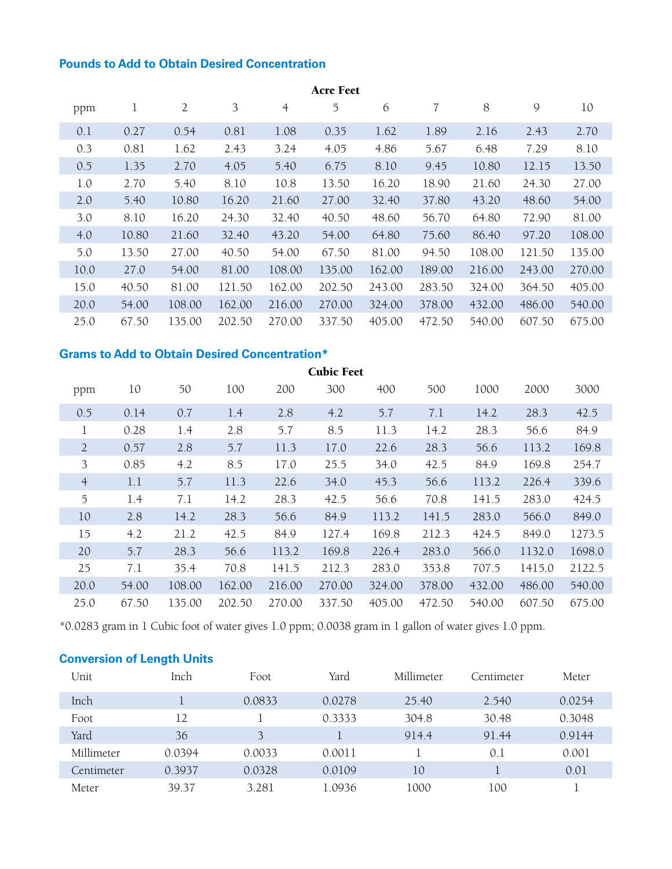# **Pounds to Add to Obtain Desired Concentration**

| <b>Acre Feet</b> |       |                |        |                |        |        |        |        |               |        |
|------------------|-------|----------------|--------|----------------|--------|--------|--------|--------|---------------|--------|
| ppm              | 1     | $\overline{2}$ | 3      | $\overline{4}$ | 5      | 6      | 7      | 8      | $\mathcal{Q}$ | 10     |
| 0.1              | 0.27  | 0.54           | 0.81   | 1.08           | 0.35   | 1.62   | 1.89   | 2.16   | 2.43          | 2.70   |
| 0.3              | 0.81  | 1.62           | 2.43   | 3.24           | 4.05   | 4.86   | 5.67   | 6.48   | 7.29          | 8.10   |
| 0.5              | 1.35  | 2.70           | 4.05   | 5.40           | 6.75   | 8.10   | 9.45   | 10.80  | 12.15         | 13.50  |
| 1.0              | 2.70  | 5.40           | 8.10   | 10.8           | 13.50  | 16.20  | 18.90  | 21.60  | 24.30         | 27.00  |
| 2.0              | 5.40  | 10.80          | 16.20  | 21.60          | 27.00  | 32.40  | 37.80  | 43.20  | 48.60         | 54.00  |
| 3.0              | 8.10  | 16.20          | 24.30  | 32.40          | 40.50  | 48.60  | 56.70  | 64.80  | 72.90         | 81.00  |
| 4.0              | 10.80 | 21.60          | 32.40  | 43.20          | 54.00  | 64.80  | 75.60  | 86.40  | 97.20         | 108.00 |
| 5.0              | 13.50 | 27.00          | 40.50  | 54.00          | 67.50  | 81.00  | 94.50  | 108.00 | 121.50        | 135.00 |
| 10.0             | 27.0  | 54.00          | 81.00  | 108.00         | 135.00 | 162.00 | 189.00 | 216.00 | 243.00        | 270.00 |
| 15.0             | 40.50 | 81.00          | 121.50 | 162.00         | 202.50 | 243.00 | 283.50 | 324.00 | 364.50        | 405.00 |
| 20.0             | 54.00 | 108.00         | 162.00 | 216.00         | 270.00 | 324.00 | 378.00 | 432.00 | 486.00        | 540.00 |
| 25.0             | 67.50 | 135.00         | 202.50 | 270.00         | 337.50 | 405.00 | 472.50 | 540.00 | 607.50        | 675.00 |

# **Grams to Add to Obtain Desired Concentration\***

| <b>Cubic Feet</b> |       |        |        |        |        |        |        |        |        |        |
|-------------------|-------|--------|--------|--------|--------|--------|--------|--------|--------|--------|
| ppm               | 10    | 50     | 100    | 200    | 300    | 400    | 500    | 1000   | 2000   | 3000   |
| 0.5               | 0.14  | 0.7    | 1.4    | 2.8    | 4.2    | 5.7    | 7.1    | 14.2   | 28.3   | 42.5   |
| 1                 | 0.28  | 1.4    | 2.8    | 5.7    | 8.5    | 11.3   | 14.2   | 28.3   | 56.6   | 84.9   |
| $\overline{2}$    | 0.57  | 2.8    | 5.7    | 11.3   | 17.0   | 22.6   | 28.3   | 56.6   | 113.2  | 169.8  |
| 3                 | 0.85  | 4.2    | 8.5    | 17.0   | 25.5   | 34.0   | 42.5   | 84.9   | 169.8  | 254.7  |
| $\overline{4}$    | 1.1   | 5.7    | 11.3   | 22.6   | 34.0   | 45.3   | 56.6   | 113.2  | 226.4  | 339.6  |
| 5                 | 1.4   | 7.1    | 14.2   | 28.3   | 42.5   | 56.6   | 70.8   | 141.5  | 283.0  | 424.5  |
| 10                | 2.8   | 14.2   | 28.3   | 56.6   | 84.9   | 113.2  | 141.5  | 283.0  | 566.0  | 849.0  |
| 15                | 4.2   | 21.2   | 42.5   | 84.9   | 127.4  | 169.8  | 212.3  | 424.5  | 849.0  | 1273.5 |
| 20                | 5.7   | 28.3   | 56.6   | 113.2  | 169.8  | 226.4  | 283.0  | 566.0  | 1132.0 | 1698.0 |
| 25                | 7.1   | 35.4   | 70.8   | 141.5  | 212.3  | 283.0  | 353.8  | 707.5  | 1415.0 | 2122.5 |
| 20.0              | 54.00 | 108.00 | 162.00 | 216.00 | 270.00 | 324.00 | 378.00 | 432.00 | 486.00 | 540.00 |
| 25.0              | 67.50 | 135.00 | 202.50 | 270.00 | 337.50 | 405.00 | 472.50 | 540.00 | 607.50 | 675.00 |

\*0.0283 gram in 1 Cubic foot of water gives 1.0 ppm; 0.0038 gram in 1 gallon of water gives 1.0 ppm.

## **Conversion of Length Units**

| Unit       | Inch   | Foot   | Yard   | Millimeter | Centimeter | Meter  |
|------------|--------|--------|--------|------------|------------|--------|
| Inch       |        | 0.0833 | 0.0278 | 25.40      | 2.540      | 0.0254 |
| Foot       | 12     |        | 0.3333 | 304.8      | 30.48      | 0.3048 |
| Yard       | 36     | 3      |        | 914.4      | 91.44      | 0.9144 |
| Millimeter | 0.0394 | 0.0033 | 0.0011 |            | 0.1        | 0.001  |
| Centimeter | 0.3937 | 0.0328 | 0.0109 | 10         |            | 0.01   |
| Meter      | 39.37  | 3.281  | 1.0936 | 1000       | 100        |        |